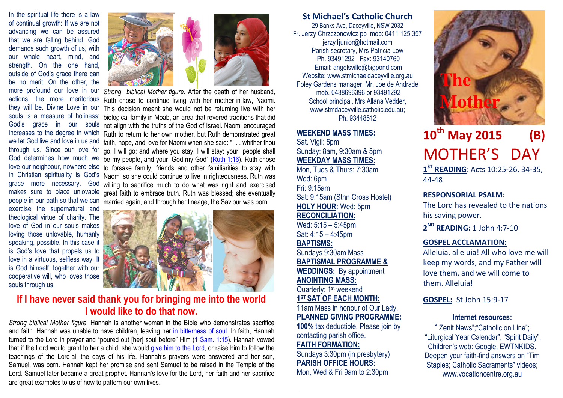In the spiritual life there is a law of continual growth: If we are not advancing we can be assured that we are falling behind. God demands such growth of us, with our whole heart, mind, and strength. On the one hand, outside of God's grace there can be no merit. On the other, the they will be. Divine Love in our souls is a measure of holiness: God's grace in our souls increases to the degree in which we let God live and love in us and through us. Since our love for God determines how much we love our neighbour, nowhere else in Christian spirituality is God's grace more necessary. God makes sure to place unlovable exercise the supernatural and theological virtue of charity. The love of God in our souls makes loving those unlovable, humanly speaking, possible. In this case it is God's love that propels us to love in a virtuous, selfless way. It is God himself, together with our cooperative will, who loves those souls through us.





more profound our love in our Strong biblical Mother figure. After the death of her husband, actions, the more meritorious Ruth chose to continue living with her mother-in-law, Naomi. people in our path so that we can married again, and through her lineage, the Saviour was born. This decision meant she would not be returning live with her biological family in Moab, an area that revered traditions that did not align with the truths of the God of Israel. Naomi encouraged Ruth to return to her own mother, but Ruth demonstrated great faith, hope, and love for Naomi when she said: ". . . whither thou go, I will go; and where you stay, I will stay: your people shall be my people, and your God my God" (Ruth 1:16). Ruth chose to forsake family, friends and other familiarities to stay with Naomi so she could continue to live in righteousness. Ruth was willing to sacrifice much to do what was right and exercised great faith to embrace truth. Ruth was blessed; she eventually



# If I have never said thank you for bringing me into the world I would like to do that now.

Strong biblical Mother figure. Hannah is another woman in the Bible who demonstrates sacrifice and faith. Hannah was unable to have children, leaving her in bitterness of soul. In faith, Hannah turned to the Lord in prayer and "poured out [her] soul before" Him (1 Sam. 1:15). Hannah vowed that if the Lord would grant to her a child, she would give him to the Lord, or raise him to follow the teachings of the Lord all the days of his life. Hannah's prayers were answered and her son, Samuel, was born. Hannah kept her promise and sent Samuel to be raised in the Temple of the Lord. Samuel later became a great prophet. Hannah's love for the Lord, her faith and her sacrifice are great examples to us of how to pattern our own lives.

## St Michael's Catholic Church

29 Banks Ave, Daceyville, NSW 2032 Fr. Jerzy Chrzczonowicz pp mob: 0411 125 357 jerzy1junior@hotmail.com Parish secretary, Mrs Patricia Low Ph. 93491292 Fax: 93140760 Email: angelsville@bigpond.com Website: www.stmichaeldaceyville.org.au Foley Gardens manager, Mr. Joe de Andrade mob. 0438696396 or 93491292 School principal, Mrs Allana Vedder, www.stmdaceyville.catholic.edu.au; Ph. 93448512

#### WEEKEND MASS TIMES:

Sat. Vigil: 5pm Sunday: 8am, 9:30am & 5pm WEEKDAY MASS TIMES: Mon, Tues & Thurs: 7:30am Wed: 6pm Fri: 9:15am Sat: 9:15am (Sthn Cross Hostel) HOLY HOUR: Wed: 5pm RECONCILIATION: Wed: 5:15 – 5:45pm Sat: 4:15 – 4:45pm BAPTISMS: Sundays 9:30am Mass BAPTISMAL PROGRAMME & WEDDINGS: By appointment ANOINTING MASS: Quarterly: 1<sup>st</sup> weekend 1<sup>ST</sup> SAT OF EACH MONTH: 11am Mass in honour of Our Lady. PLANNED GIVING PROGRAMME: 100% tax deductible. Please join by contacting parish office. FAITH FORMATION: Sundays 3:30pm (in presbytery) PARISH OFFICE HOURS: Mon, Wed & Fri 9am to 2:30pm

.



# $10^{\text{th}}$  May 2015 (B) MOTHER'S DAY 1<sup>ST</sup> READING: Acts 10:25-26, 34-35,

44-48

#### RESPONSORIAL PSALM:

The Lord has revealed to the nations his saving power.

2<sup>ND</sup> READING: 1 John 4:7-10

#### GOSPEL ACCLAMATION:

Alleluia, alleluia! All who love me will keep my words, and my Father will love them, and we will come to them. Alleluia!

GOSPEL: St John 15:9-17

#### Internet resources:

" Zenit News";"Catholic on Line"; "Liturgical Year Calendar", "Spirit Daily", Children's web: Google, EWTNKIDS. Deepen your faith-find answers on "Tim Staples; Catholic Sacraments" videos; www.vocationcentre.org.au